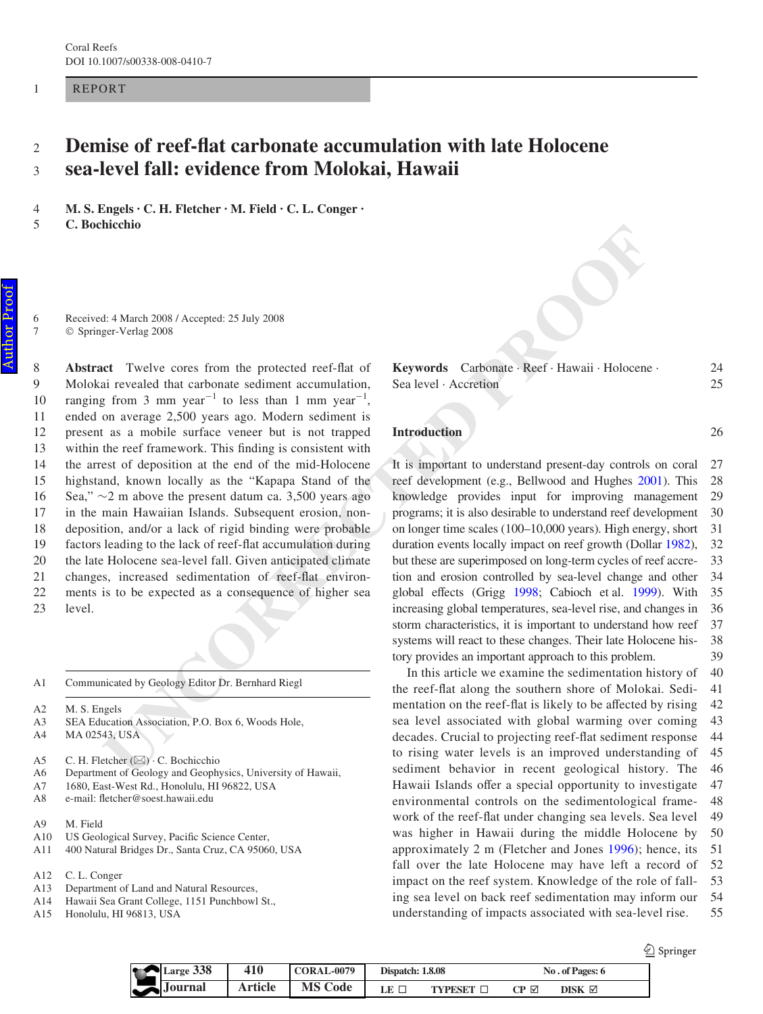REPORT

1

### **Demise of reef-Xat carbonate accumulation with late Holocene sea-level fall: evidence from Molokai, Hawaii** 2 3

**M. S. Engels · C. H. Fletcher · M. Field · C. L. Conger ·**  4

**C. Bochicchio**  5

> Received: 4 March 2008 / Accepted: 25 July 2008 Springer-Verlag 2008

**If**  $\frac{1}{2}$  **Under 2008** / Accepted: 25 July 2008<br>
If  $\frac{1}{2}$  **UNCORRECTED ACCESS** (Accepted: 25 July 2008<br>
If  $\frac{1}{2}$  **UNCORRECTED IF**  $\frac{1}{2}$  **UNCORRECTED** (from 3 mm year) to least that actionates escaline at c Abstract Twelve cores from the protected reef-flat of Molokai revealed that carbonate sediment accumulation, ranging from 3 mm year<sup>-1</sup> to less than 1 mm year<sup>-1</sup>, ended on average 2,500 years ago. Modern sediment is present as a mobile surface veneer but is not trapped within the reef framework. This finding is consistent with the arrest of deposition at the end of the mid-Holocene highstand, known locally as the "Kapapa Stand of the Sea,"  $\sim$ 2 m above the present datum ca. 3,500 years ago in the main Hawaiian Islands. Subsequent erosion, nondeposition, and/or a lack of rigid binding were probable factors leading to the lack of reef-flat accumulation during the late Holocene sea-level fall. Given anticipated climate changes, increased sedimentation of reef-flat environments is to be expected as a consequence of higher sea level. 8 9 10 11 12 13 14 15 16 17 18 19 20  $21$ 22 23

Communicated by Geology Editor Dr. Bernhard Riegl A1

M. S. Engels A2

SEA Education Association, P.O. Box 6, Woods Hole, A3

MA 02543, USA  $A<sub>4</sub>$ 

C. H. Fletcher (⊠) · C. Bochicchio A5

- Department of Geology and Geophysics, University of Hawaii, A6
- 1680, East-West Rd., Honolulu, HI 96822, USA A7
- e-mail: fletcher@soest.hawaii.edu A8
- M. Field A9
- US Geological Survey, Pacific Science Center, A10
- 400 Natural Bridges Dr., Santa Cruz, CA 95060, USA A11
- C. L. Conger A12
- Department of Land and Natural Resources, A13
- Hawaii Sea Grant College, 1151 Punchbowl St., A14
- Honolulu, HI 96813, USA A15

|                       | Keywords Carbonate · Reef · Hawaii · Holocene · | 24 |
|-----------------------|-------------------------------------------------|----|
| Sea level · Accretion |                                                 |    |

## **Introduction**

It is important to understand present-day controls on coral reef development (e.g., Bellwood and Hughes [2001](#page-5-0)). This knowledge provides input for improving management programs; it is also desirable to understand reef development on longer time scales (100–10,000 years). High energy, short duration events locally impact on reef growth (Dollar [1982\)](#page-5-1), but these are superimposed on long-term cycles of reef accretion and erosion controlled by sea-level change and other global effects (Grigg 1998; Cabioch et al. 1999). With increasing global temperatures, sea-level rise, and changes in storm characteristics, it is important to understand how reef systems will react to these changes. Their late Holocene history provides an important approach to this problem. 27 28 29 30 31 32 33 34 35 36 37 38 39

In this article we examine the sedimentation history of the reef-flat along the southern shore of Molokai. Sedimentation on the reef-flat is likely to be affected by rising sea level associated with global warming over coming decades. Crucial to projecting reef-flat sediment response to rising water levels is an improved understanding of sediment behavior in recent geological history. The Hawaii Islands offer a special opportunity to investigate environmental controls on the sedimentological framework of the reef-flat under changing sea levels. Sea level was higher in Hawaii during the middle Holocene by approximately 2 m (Fletcher and Jones [1996\)](#page-5-4); hence, its fall over the late Holocene may have left a record of impact on the reef system. Knowledge of the role of falling sea level on back reef sedimentation may inform our understanding of impacts associated with sea-level rise. 40 41 42 43 44 45 46 47 48 49 50 51 52 53 54 55

2 Springer

26

| $Large$ 338           | 410     | <b>CORAL-0079</b> | <b>Dispatch: 1.8.08</b> |         | No. of Pages: 6 |        |  |
|-----------------------|---------|-------------------|-------------------------|---------|-----------------|--------|--|
| $\rightarrow$ Journal | Article | <b>MS Code</b>    | LE 1                    | TYPESET | CP ⊠            | DISK ⊠ |  |

Author ProofAuthor Proof

6 7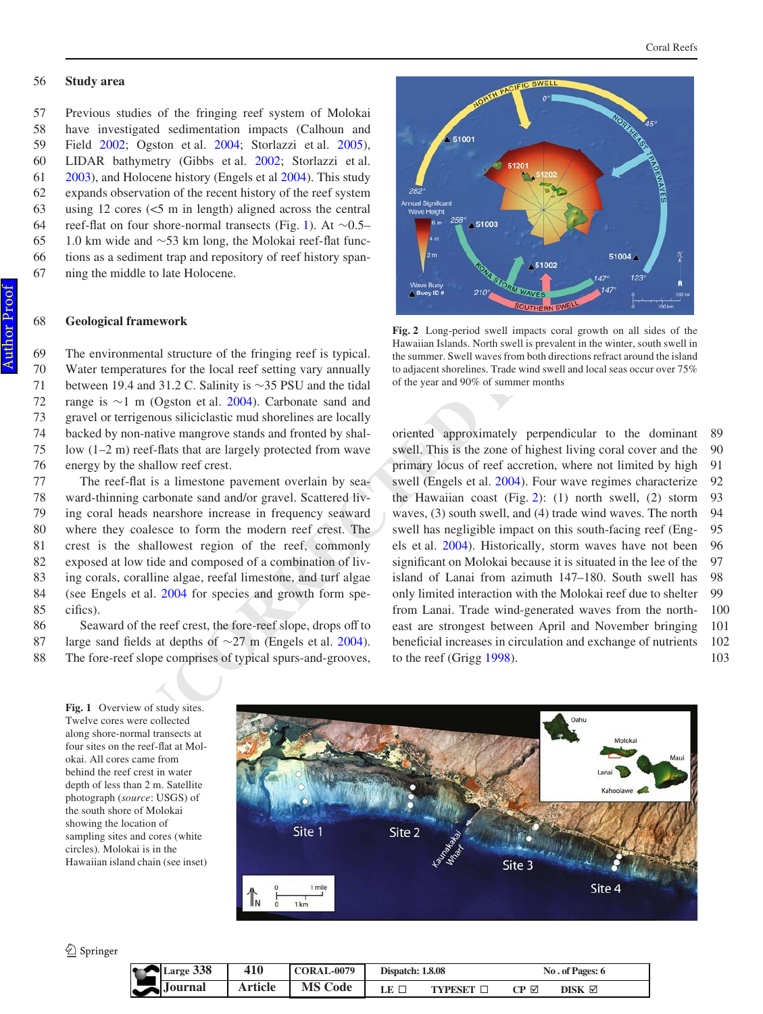#### **Study area** 56

Previous studies of the fringing reef system of Molokai have investigated sedimentation impacts (Calhoun and Field [2002;](#page-5-5) Ogston et al. [2004](#page-5-6); Storlazzi et al. [2005](#page-5-7)), LIDAR bathymetry (Gibbs et al. [2002;](#page-5-8) Storlazzi et al. [2003](#page-5-9)), and Holocene history (Engels et al [2004](#page-5-10)). This study expands observation of the recent history of the reef system using 12 cores (<5 m in length) aligned across the central reef-flat on four shore-normal transects (Fig. [1](#page-1-0)). At  $\sim 0.5-$ 1.0 km wide and  $\sim$ 53 km long, the Molokai reef-flat functions as a sediment trap and repository of reef history spanning the middle to late Holocene. 57 58 59 60 61 62 63 64 65 66 67

# **Geological framework**

The environmental structure of the fringing reef is typical. Water temperatures for the local reef setting vary annually between 19.4 and 31.2 C. Salinity is  $\sim$ 35 PSU and the tidal range is  $\sim$ 1 m (Ogston et al. 2004). Carbonate sand and gravel or terrigenous siliciclastic mud shorelines are locally backed by non-native mangrove stands and fronted by shallow (1-2 m) reef-flats that are largely protected from wave energy by the shallow reef crest.

The reef-flat is a limestone pavement overlain by seaward-thinning carbonate sand and/or gravel. Scattered living coral heads nearshore increase in frequency seaward where they coalesce to form the modern reef crest. The crest is the shallowest region of the reef, commonly exposed at low tide and composed of a combination of living corals, coralline algae, reefal limestone, and turf algae (see Engels et al. 2004 for species and growth form specifics). 77 78 79 80 81 82 83 84 85

Seaward of the reef crest, the fore-reef slope, drops off to large sand fields at depths of  $\sim$ 27 m (Engels et al. 2004). The fore-reef slope comprises of typical spurs-and-grooves, 86 87 88





<span id="page-1-1"></span>**Fig. 2** Long-period swell impacts coral growth on all sides of the Hawaiian Islands. North swell is prevalent in the winter, south swell in the summer. Swell waves from both directions refract around the island to adjacent shorelines. Trade wind swell and local seas occur over 75% of the year and 90% of summer months

of the motion controllaring transports (rigin 1). At  $\sim$  2004.<br>
The model to late Holocene,<br>
wide and  $\sim$ 35 km long, the Molokai reef. that func-<br>
Fig. 2 Long-period well impacts coral growth on all sides<br>
virtuous membe oriented approximately perpendicular to the dominant swell. This is the zone of highest living coral cover and the primary locus of reef accretion, where not limited by high swell (Engels et al. [2004](#page-5-10)). Four wave regimes characterize the Hawaiian coast (Fig. [2](#page-1-1)): (1) north swell, (2) storm waves, (3) south swell, and (4) trade wind waves. The north swell has negligible impact on this south-facing reef (Engels et al. 2004). Historically, storm waves have not been significant on Molokai because it is situated in the lee of the island of Lanai from azimuth 147–180. South swell has only limited interaction with the Molokai reef due to shelter from Lanai. Trade wind-generated waves from the northeast are strongest between April and November bringing beneficial increases in circulation and exchange of nutrients to the reef (Grigg [1998](#page-5-2)). 89 90 91 92 93 94 95 96 97 98 99 100 101 102 103

<span id="page-1-0"></span>**Fig. 1** Overview of study sites. Twelve cores were collected along shore-normal transects at four sites on the reef-flat at Molokai. All cores came from behind the reef crest in water depth of less than 2 m. Satellite photograph (*source*: USGS) of the south shore of Molokai showing the location of sampling sites and cores (white circles). Molokai is in the Hawaiian island chain (see inset)



 $\bigcirc$  Springer

| <b>TELE</b> | Large 338           | 410            | <b>CORAL-0079</b> | <b>Dispatch: 1.8.08</b> |                  | No. of Pages: 6  |                        |  |
|-------------|---------------------|----------------|-------------------|-------------------------|------------------|------------------|------------------------|--|
| w           | $\triangle$ Journal | <b>Article</b> | <b>MS Code</b>    | LE $\Box$               | <b>TYPESET L</b> | $CP$ $\boxtimes$ | $DISK \nbox{ } \nabla$ |  |

68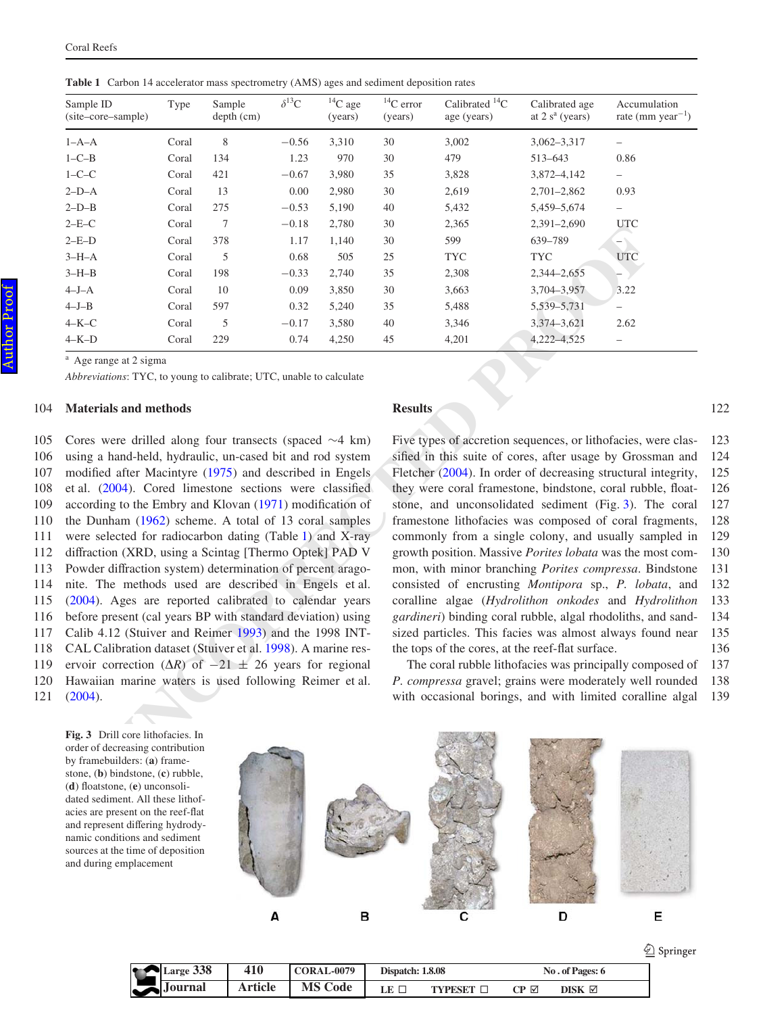<span id="page-2-0"></span>**Table 1** Carbon 14 accelerator mass spectrometry (AMS) ages and sediment deposition rates

| Sample ID<br>(site-core-sample)                                                                                                                                                                                                                                                                                                                                                                                                                                                                                                                                                                                                                                                                                                         | Type  | Sample<br>$depth$ (cm) | $\delta^{13}{\rm C}$ | ${}^{14}C$ age<br>(years) | $^{14}\mathrm{C}$ error<br>(years) | Calibrated <sup>14</sup> C<br>age (years)        | Calibrated age<br>at $2 sa$ (years) | Accumulation<br>rate (mm year <sup><math>-1</math></sup> )                                                                                                                                                                                                                                                                                                                                                                                                                                                                                                                                                                                                                      |
|-----------------------------------------------------------------------------------------------------------------------------------------------------------------------------------------------------------------------------------------------------------------------------------------------------------------------------------------------------------------------------------------------------------------------------------------------------------------------------------------------------------------------------------------------------------------------------------------------------------------------------------------------------------------------------------------------------------------------------------------|-------|------------------------|----------------------|---------------------------|------------------------------------|--------------------------------------------------|-------------------------------------|---------------------------------------------------------------------------------------------------------------------------------------------------------------------------------------------------------------------------------------------------------------------------------------------------------------------------------------------------------------------------------------------------------------------------------------------------------------------------------------------------------------------------------------------------------------------------------------------------------------------------------------------------------------------------------|
| $1-A-A$                                                                                                                                                                                                                                                                                                                                                                                                                                                                                                                                                                                                                                                                                                                                 | Coral | 8                      | $-0.56$              | 3,310                     | 30                                 | 3,002                                            | $3,062 - 3,317$                     | $\overline{\phantom{0}}$                                                                                                                                                                                                                                                                                                                                                                                                                                                                                                                                                                                                                                                        |
| $1 - C - B$                                                                                                                                                                                                                                                                                                                                                                                                                                                                                                                                                                                                                                                                                                                             | Coral | 134                    | 1.23                 | 970                       | 30                                 | 479                                              | 513-643                             | 0.86                                                                                                                                                                                                                                                                                                                                                                                                                                                                                                                                                                                                                                                                            |
| $1-C-C$                                                                                                                                                                                                                                                                                                                                                                                                                                                                                                                                                                                                                                                                                                                                 | Coral | 421                    | $-0.67$              | 3,980                     | 35                                 | 3,828                                            | 3,872-4,142                         | $\overline{\phantom{a}}$                                                                                                                                                                                                                                                                                                                                                                                                                                                                                                                                                                                                                                                        |
| $2-D-A$                                                                                                                                                                                                                                                                                                                                                                                                                                                                                                                                                                                                                                                                                                                                 | Coral | 13                     | 0.00                 | 2,980                     | 30                                 | 2,619                                            | $2,701 - 2,862$                     | 0.93                                                                                                                                                                                                                                                                                                                                                                                                                                                                                                                                                                                                                                                                            |
| $2-D-B$                                                                                                                                                                                                                                                                                                                                                                                                                                                                                                                                                                                                                                                                                                                                 | Coral | 275                    | $-0.53$              | 5,190                     | 40                                 | 5,432                                            | 5,459-5,674                         | $\overline{\phantom{0}}$                                                                                                                                                                                                                                                                                                                                                                                                                                                                                                                                                                                                                                                        |
| $2-E-C$                                                                                                                                                                                                                                                                                                                                                                                                                                                                                                                                                                                                                                                                                                                                 | Coral | $\tau$                 | $-0.18$              | 2,780                     | 30                                 | 2,365                                            | 2,391-2,690                         | <b>UTC</b>                                                                                                                                                                                                                                                                                                                                                                                                                                                                                                                                                                                                                                                                      |
| $2-E-D$                                                                                                                                                                                                                                                                                                                                                                                                                                                                                                                                                                                                                                                                                                                                 | Coral | 378                    | 1.17                 | 1,140                     | 30                                 | 599                                              | 639-789                             | $\overline{\phantom{0}}$                                                                                                                                                                                                                                                                                                                                                                                                                                                                                                                                                                                                                                                        |
| $3-H-A$                                                                                                                                                                                                                                                                                                                                                                                                                                                                                                                                                                                                                                                                                                                                 | Coral | 5                      | 0.68                 | 505                       | 25                                 | <b>TYC</b>                                       | <b>TYC</b>                          | <b>UTC</b>                                                                                                                                                                                                                                                                                                                                                                                                                                                                                                                                                                                                                                                                      |
| $3-H-B$                                                                                                                                                                                                                                                                                                                                                                                                                                                                                                                                                                                                                                                                                                                                 | Coral | 198                    | $-0.33$              | 2,740                     | 35                                 | 2,308                                            | 2,344-2,655                         |                                                                                                                                                                                                                                                                                                                                                                                                                                                                                                                                                                                                                                                                                 |
| $4-J-A$                                                                                                                                                                                                                                                                                                                                                                                                                                                                                                                                                                                                                                                                                                                                 | Coral | 10                     | 0.09                 | 3,850                     | 30                                 | 3,663                                            | 3,704-3,957                         | 3.22                                                                                                                                                                                                                                                                                                                                                                                                                                                                                                                                                                                                                                                                            |
| $4-J-B$                                                                                                                                                                                                                                                                                                                                                                                                                                                                                                                                                                                                                                                                                                                                 | Coral | 597                    | 0.32                 | 5,240                     | 35                                 | 5,488                                            | 5,539-5,731                         |                                                                                                                                                                                                                                                                                                                                                                                                                                                                                                                                                                                                                                                                                 |
| $4 - K - C$                                                                                                                                                                                                                                                                                                                                                                                                                                                                                                                                                                                                                                                                                                                             | Coral | 5                      | $-0.17$              | 3,580                     | 40                                 | 3,346                                            | 3,374-3,621                         | 2.62                                                                                                                                                                                                                                                                                                                                                                                                                                                                                                                                                                                                                                                                            |
| $4 - K - D$                                                                                                                                                                                                                                                                                                                                                                                                                                                                                                                                                                                                                                                                                                                             | Coral | 229                    | 0.74                 | 4,250                     | 45                                 | 4,201                                            | 4,222-4,525                         | $\qquad \qquad -$                                                                                                                                                                                                                                                                                                                                                                                                                                                                                                                                                                                                                                                               |
| modified after Macintyre (1975) and described in Engels<br>et al. (2004). Cored limestone sections were classified<br>according to the Embry and Klovan (1971) modification of<br>the Dunham (1962) scheme. A total of 13 coral samples<br>were selected for radiocarbon dating (Table 1) and X-ray<br>diffraction (XRD, using a Scintag [Thermo Optek] PAD V<br>Powder diffraction system) determination of percent arago-<br>nite. The methods used are described in Engels et al.<br>(2004). Ages are reported calibrated to calendar years<br>before present (cal years BP with standard deviation) using<br>Calib 4.12 (Stuiver and Reimer 1993) and the 1998 INT-<br>CAL Calibration dataset (Stuiver et al. 1998). A marine res- |       |                        |                      |                           |                                    | the tops of the cores, at the reef-flat surface. |                                     | Fletcher (2004). In order of decreasing structural integrity,<br>they were coral framestone, bindstone, coral rubble, float-<br>stone, and unconsolidated sediment (Fig. 3). The coral<br>framestone lithofacies was composed of coral fragments,<br>commonly from a single colony, and usually sampled in<br>growth position. Massive Porites lobata was the most com-<br>mon, with minor branching Porites compressa. Bindstone<br>consisted of encrusting Montipora sp., P. lobata, and<br>coralline algae (Hydrolithon onkodes and Hydrolithon<br>gardineri) binding coral rubble, algal rhodoliths, and sand-<br>sized particles. This facies was almost always found near |
| ervoir correction ( $\Delta R$ ) of $-21 \pm 26$ years for regional<br>Hawaiian marine waters is used following Reimer et al.<br>(2004).<br>Fig. 3 Drill core lithofacies. In<br>order of decreasing contribution<br>by framebuilders: (a) frame-<br>stone, (b) bindstone, (c) rubble.                                                                                                                                                                                                                                                                                                                                                                                                                                                  |       |                        |                      |                           |                                    |                                                  |                                     | The coral rubble lithofacies was principally composed of<br>P. compressa gravel; grains were moderately well rounded<br>with occasional borings, and with limited coralline algal                                                                                                                                                                                                                                                                                                                                                                                                                                                                                               |

#### **Materials and methods** 104

Cores were drilled along four transects (spaced  $\sim$  4 km) using a hand-held, hydraulic, un-cased bit and rod system modified after Macintyre (1975) and described in Engels et al. (2004). Cored limestone sections were classified according to the Embry and Klovan  $(1971)$  modification of the Dunham (1962) scheme. A total of 13 coral samples were selected for radiocarbon dating (Table 1) and X-ray diffraction (XRD, using a Scintag [Thermo Optek] PAD V Powder diffraction system) determination of percent aragonite. The methods used are described in Engels et al. [\(2004](#page-5-10)). Ages are reported calibrated to calendar years before present (cal years BP with standard deviation) using Calib 4.12 (Stuiver and Reimer 1993) and the 1998 INT-CAL Calibration dataset (Stuiver et al. 1998). A marine reservoir correction  $(\Delta R)$  of  $-21 \pm 26$  years for regional Hawaiian marine waters is used following Reimer et al. [\(2004](#page-5-16)). 105 106 107 108 109 110 111 112 113 114 115 116 117 118 119 120 121

### **Results**

Five types of accretion sequences, or lithofacies, were classified in this suite of cores, after usage by Grossman and Fletcher (2004). In order of decreasing structural integrity, they were coral framestone, bindstone, coral rubble, floatstone, and unconsolidated sediment (Fig. [3](#page-2-1)). The coral framestone lithofacies was composed of coral fragments, commonly from a single colony, and usually sampled in growth position. Massive *Porites lobata* was the most common, with minor branching *Porites compressa*. Bindstone consisted of encrusting *Montipora* sp., *P. lobata*, and coralline algae (*Hydrolithon onkodes* and *Hydrolithon gardineri*) binding coral rubble, algal rhodoliths, and sandsized particles. This facies was almost always found near the tops of the cores, at the reef-flat surface. 123 124 125 126 127 128 129 130 131 132 133 134 135 136

The coral rubble lithofacies was principally composed of *P. compressa* gravel; grains were moderately well rounded with occasional borings, and with limited coralline algal 137 138 139

<span id="page-2-1"></span>**Fig. 3** Drill core lithofacies. In order of decreasing contribution by framebuilders: (**a**) framestone, (**b**) bindstone, (**c**) rubble, (d) floatstone, (e) unconsolidated sediment. All these lithofacies are present on the reef-flat and represent differing hydrodynamic conditions and sediment sources at the time of deposition and during emplacement



| Large 338<br>$\bullet$ | 410            | <b>CORAL-0079</b> | Dispatch: 1.8.08 |                  | No. of Pages: 6  |                    |  |
|------------------------|----------------|-------------------|------------------|------------------|------------------|--------------------|--|
| $\sum$ Journal         | <b>Article</b> | <b>MS Code</b>    |                  | <b>TYPESET I</b> | $CP$ $\boxtimes$ | $DISK \ \boxtimes$ |  |

2 Springer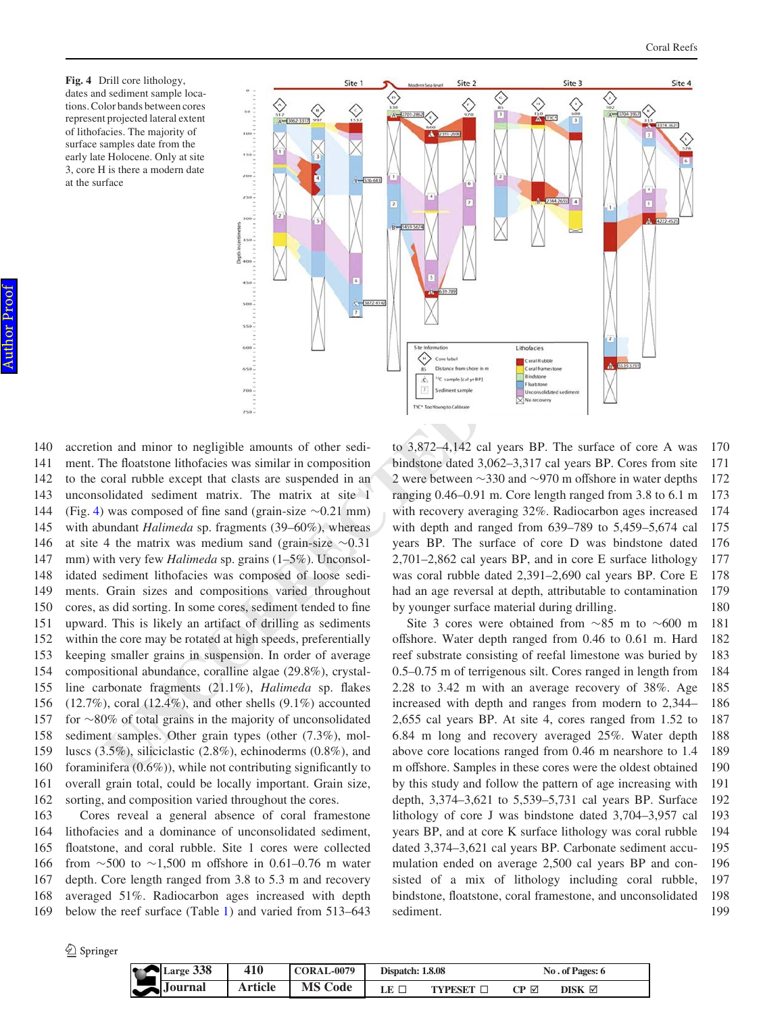<span id="page-3-0"></span>**Fig. 4** Drill core lithology, dates and sediment sample locations. Color bands between cores represent projected lateral extent of lithofacies. The majority of surface samples date from the early late Holocene. Only at site 3, core H is there a modern date at the surface



**UNCORRECTED**<br> **EXERCISE THE SECTION CONSULTS (CONSULTS)**<br> **EXERCISE THE SECTION CONSULTS (CONSULTS)**<br> **EXERCISE THE SECTION CONSULTS (CONSULTS)**<br> **EXERCISE THE SECTION CONSULTS (CONSULTS)**<br> **EXERCISE THE SECTION CONSULTS** accretion and minor to negligible amounts of other sediment. The floatstone lithofacies was similar in composition to the coral rubble except that clasts are suspended in an unconsolidated sediment matrix. The matrix at site 1 (Fig. [4\)](#page-3-0) was composed of fine sand (grain-size  $\sim 0.21$  mm) with abundant *Halimeda* sp. fragments (39–60%), whereas at site 4 the matrix was medium sand (grain-size  $\sim 0.31$ ) mm) with very few *Halimeda* sp. grains (1–5%). Unconsolidated sediment lithofacies was composed of loose sediments. Grain sizes and compositions varied throughout cores, as did sorting. In some cores, sediment tended to fine upward. This is likely an artifact of drilling as sediments within the core may be rotated at high speeds, preferentially keeping smaller grains in suspension. In order of average compositional abundance, coralline algae (29.8%), crystalline carbonate fragments (21.1%), *Halimeda* sp. flakes  $(12.7\%)$ , coral  $(12.4\%)$ , and other shells  $(9.1\%)$  accounted for  $\sim$ 80% of total grains in the majority of unconsolidated sediment samples. Other grain types (other (7.3%), molluscs (3.5%), siliciclastic (2.8%), echinoderms (0.8%), and foraminifera  $(0.6\%)$ , while not contributing significantly to overall grain total, could be locally important. Grain size, sorting, and composition varied throughout the cores. 140 141 142 143 144 145 146 147 148 149 150 151 152 153 154 155 156 157 158 159 160 161 162

Cores reveal a general absence of coral framestone lithofacies and a dominance of unconsolidated sediment, floatstone, and coral rubble. Site 1 cores were collected from  $\sim$ 500 to  $\sim$ 1,500 m offshore in 0.61–0.76 m water depth. Core length ranged from 3.8 to 5.3 m and recovery averaged 51%. Radiocarbon ages increased with depth below the reef surface (Table [1\)](#page-2-0) and varied from 513–643 163 164 165 166 167 168 169

to 3,872–4,142 cal years BP. The surface of core A was bindstone dated 3,062–3,317 cal years BP. Cores from site 2 were between  $\sim$ 330 and  $\sim$ 970 m offshore in water depths ranging 0.46–0.91 m. Core length ranged from 3.8 to 6.1 m with recovery averaging 32%. Radiocarbon ages increased with depth and ranged from 639–789 to 5,459–5,674 cal years BP. The surface of core D was bindstone dated 2,701–2,862 cal years BP, and in core E surface lithology was coral rubble dated 2,391–2,690 cal years BP. Core E had an age reversal at depth, attributable to contamination by younger surface material during drilling. 170 171 172 173 174 175 176 177 178 179 180

Site 3 cores were obtained from  $\sim 85$  m to  $\sim 600$  m offshore. Water depth ranged from 0.46 to 0.61 m. Hard reef substrate consisting of reefal limestone was buried by 0.5–0.75 m of terrigenous silt. Cores ranged in length from 2.28 to 3.42 m with an average recovery of 38%. Age increased with depth and ranges from modern to 2,344– 2,655 cal years BP. At site 4, cores ranged from 1.52 to 6.84 m long and recovery averaged 25%. Water depth above core locations ranged from 0.46 m nearshore to 1.4 m offshore. Samples in these cores were the oldest obtained by this study and follow the pattern of age increasing with depth, 3,374–3,621 to 5,539–5,731 cal years BP. Surface lithology of core J was bindstone dated 3,704–3,957 cal years BP, and at core K surface lithology was coral rubble dated 3,374–3,621 cal years BP. Carbonate sediment accumulation ended on average 2,500 cal years BP and consisted of a mix of lithology including coral rubble, bindstone, floatstone, coral framestone, and unconsolidated sediment. 181 182 183 184 185 186 187 188 189 190 191 192 193 194 195 196 197 198 199

 $\bigcirc$  Springer

| $\blacktriangleright$ | $\triangle$ Large 338 | 410     | <b>CORAL-0079</b> | <b>Dispatch: 1.8.08</b> |                  | No. of Pages: 6 |                  |  |
|-----------------------|-----------------------|---------|-------------------|-------------------------|------------------|-----------------|------------------|--|
|                       | $J$ ournal            | Article | <b>MS Code</b>    | LE $\Box$               | <b>TYPESET L</b> | СР ⊠            | DISK $\boxtimes$ |  |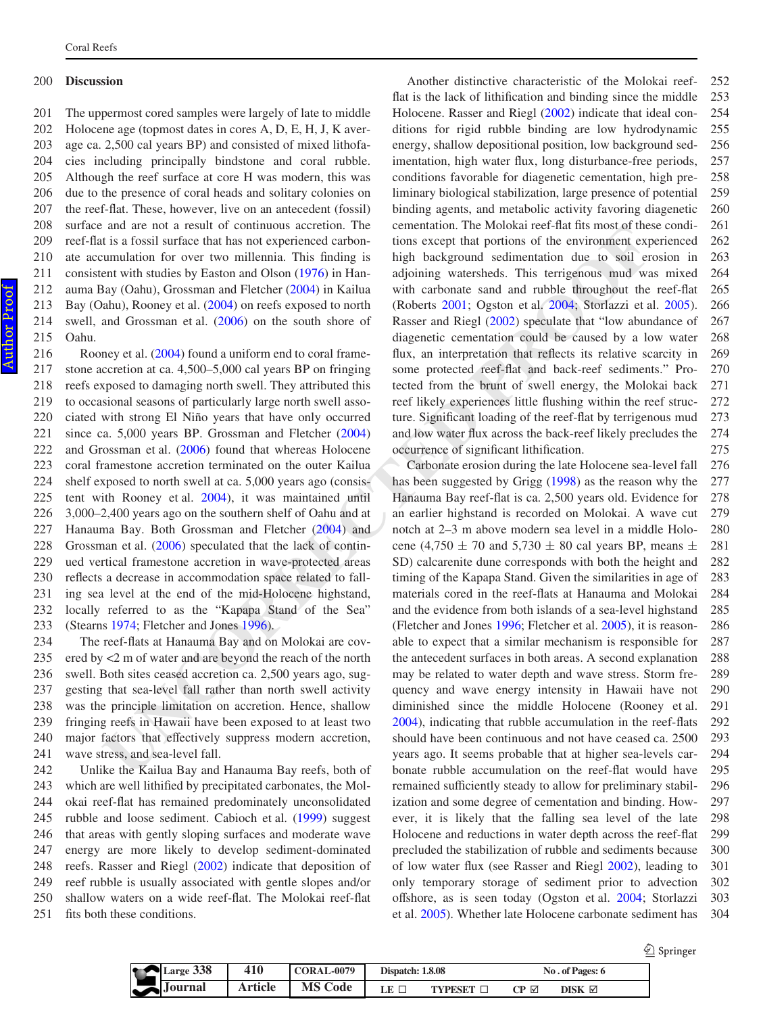#### **Discussion** 200

The uppermost cored samples were largely of late to middle Holocene age (topmost dates in cores A, D, E, H, J, K average ca. 2,500 cal years BP) and consisted of mixed lithofacies including principally bindstone and coral rubble. Although the reef surface at core H was modern, this was due to the presence of coral heads and solitary colonies on the reef-flat. These, however, live on an antecedent (fossil) surface and are not a result of continuous accretion. The reef-flat is a fossil surface that has not experienced carbonate accumulation for over two millennia. This finding is consistent with studies by Easton and Olson [\(1976](#page-5-18)) in Hanauma Bay (Oahu), Grossman and Fletcher [\(2004](#page-5-17)) in Kailua Bay (Oahu), Rooney et al. [\(2004](#page-5-19)) on reefs exposed to north swell, and Grossman et al. [\(2006](#page-5-20)) on the south shore of Oahu. 201 202 203 204 205 206 207 208 209 210 211 212 213 214 215

Rooney et al. ([2004\)](#page-5-19) found a uniform end to coral framestone accretion at ca. 4,500–5,000 cal years BP on fringing reefs exposed to damaging north swell. They attributed this to occasional seasons of particularly large north swell associated with strong El Niño years that have only occurred since ca. 5,000 years BP. Grossman and Fletcher (2004) and Grossman et al. (2006) found that whereas Holocene coral framestone accretion terminated on the outer Kailua shelf exposed to north swell at ca. 5,000 years ago (consistent with Rooney et al. 2004), it was maintained until 3,000–2,400 years ago on the southern shelf of Oahu and at Hanauma Bay. Both Grossman and Fletcher (2004) and Grossman et al. (2006) speculated that the lack of continued vertical framestone accretion in wave-protected areas reflects a decrease in accommodation space related to falling sea level at the end of the mid-Holocene highstand, locally referred to as the "Kapapa Stand of the Sea" (Stearns 1974; Fletcher and Jones 1996). 216 217 218 219 220 221 222 223 224 225 226 227 228 229 230 231 232 233

The reef-flats at Hanauma Bay and on Molokai are covered by <2 m of water and are beyond the reach of the north swell. Both sites ceased accretion ca. 2,500 years ago, suggesting that sea-level fall rather than north swell activity was the principle limitation on accretion. Hence, shallow fringing reefs in Hawaii have been exposed to at least two major factors that effectively suppress modern accretion, wave stress, and sea-level fall. 234 235 236 237 238 239 240 241

Unlike the Kailua Bay and Hanauma Bay reefs, both of which are well lithified by precipitated carbonates, the Molokai reef-flat has remained predominately unconsolidated rubble and loose sediment. Cabioch et al. ([1999\)](#page-5-3) suggest that areas with gently sloping surfaces and moderate wave energy are more likely to develop sediment-dominated reefs. Rasser and Riegl [\(2002](#page-5-22)) indicate that deposition of reef rubble is usually associated with gentle slopes and/or shallow waters on a wide reef-flat. The Molokai reef-flat fits both these conditions. 242 243 244 245 246 247 248 249 250 251

Another distinctive characteristic of the Molokai reefflat is the lack of lithification and binding since the middle Holocene. Rasser and Riegl [\(2002](#page-5-22)) indicate that ideal conditions for rigid rubble binding are low hydrodynamic energy, shallow depositional position, low background sedimentation, high water flux, long disturbance-free periods, conditions favorable for diagenetic cementation, high preliminary biological stabilization, large presence of potential binding agents, and metabolic activity favoring diagenetic cementation. The Molokai reef-flat fits most of these conditions except that portions of the environment experienced high background sedimentation due to soil erosion in adjoining watersheds. This terrigenous mud was mixed with carbonate sand and rubble throughout the reef-flat (Roberts [2001;](#page-5-23) Ogston et al. 2004; Storlazzi et al. [2005\)](#page-5-7). Rasser and Riegl (2002) speculate that "low abundance of diagenetic cementation could be caused by a low water flux, an interpretation that reflects its relative scarcity in some protected reef-flat and back-reef sediments." Protected from the brunt of swell energy, the Molokai back reef likely experiences little flushing within the reef structure. Significant loading of the reef-flat by terrigenous mud and low water flux across the back-reef likely precludes the occurrence of significant lithification. 252 253 254 255 256 257 258 259 260 261 262 263 264 265 266 267 268 269 270 271 272 273 274 275

and the those three and the entired in the selection of the entired in the soloid reserved to the interest of the soloid in the soloid in the soloid in the soloid in the soloid in the soloid interest that in the substitut Carbonate erosion during the late Holocene sea-level fall has been suggested by Grigg ([1998\)](#page-5-2) as the reason why the Hanauma Bay reef-flat is ca. 2,500 years old. Evidence for an earlier highstand is recorded on Molokai. A wave cut notch at 2–3 m above modern sea level in a middle Holocene (4,750  $\pm$  70 and 5,730  $\pm$  80 cal years BP, means  $\pm$ SD) calcarenite dune corresponds with both the height and timing of the Kapapa Stand. Given the similarities in age of materials cored in the reef-flats at Hanauma and Molokai and the evidence from both islands of a sea-level highstand (Fletcher and Jones [1996;](#page-5-4) Fletcher et al. [2005](#page-5-24)), it is reasonable to expect that a similar mechanism is responsible for the antecedent surfaces in both areas. A second explanation may be related to water depth and wave stress. Storm frequency and wave energy intensity in Hawaii have not diminished since the middle Holocene (Rooney et al. 2004), indicating that rubble accumulation in the reef-flats should have been continuous and not have ceased ca. 2500 years ago. It seems probable that at higher sea-levels carbonate rubble accumulation on the reef-flat would have remained sufficiently steady to allow for preliminary stabilization and some degree of cementation and binding. However, it is likely that the falling sea level of the late Holocene and reductions in water depth across the reef-flat precluded the stabilization of rubble and sediments because of low water flux (see Rasser and Riegl [2002](#page-5-22)), leading to only temporary storage of sediment prior to advection offshore, as is seen today (Ogston et al. [2004](#page-5-6); Storlazzi et al. [2005](#page-5-7)). Whether late Holocene carbonate sediment has 276 277 278 279 280 281 282 283 284 285 286 287 288 289 290 291 292 293 294 295 296 297 298 299 300 301 302 303 304

|    |                |         |                   |                         |                   |      |                  | $\mathcal{Q}$ Springer |
|----|----------------|---------|-------------------|-------------------------|-------------------|------|------------------|------------------------|
| шr | Large 338      | 410     | <b>CORAL-0079</b> | <b>Dispatch: 1.8.08</b> |                   |      | No. of Pages: 6  |                        |
|    | $\sum$ Journal | Article | <b>MS Code</b>    | LE $\square$            | TYPESET <b>II</b> | CP ⊠ | DISK $\boxtimes$ |                        |